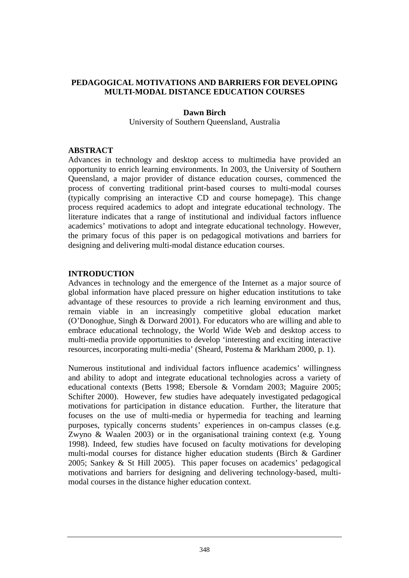### **PEDAGOGICAL MOTIVATIONS AND BARRIERS FOR DEVELOPING MULTI-MODAL DISTANCE EDUCATION COURSES**

#### **Dawn Birch**

University of Southern Queensland, Australia

### **ABSTRACT**

Advances in technology and desktop access to multimedia have provided an opportunity to enrich learning environments. In 2003, the University of Southern Queensland, a major provider of distance education courses, commenced the process of converting traditional print-based courses to multi-modal courses (typically comprising an interactive CD and course homepage). This change process required academics to adopt and integrate educational technology. The literature indicates that a range of institutional and individual factors influence academics' motivations to adopt and integrate educational technology. However, the primary focus of this paper is on pedagogical motivations and barriers for designing and delivering multi-modal distance education courses.

### **INTRODUCTION**

Advances in technology and the emergence of the Internet as a major source of global information have placed pressure on higher education institutions to take advantage of these resources to provide a rich learning environment and thus, remain viable in an increasingly competitive global education market (O'Donoghue, Singh & Dorward 2001). For educators who are willing and able to embrace educational technology, the World Wide Web and desktop access to multi-media provide opportunities to develop 'interesting and exciting interactive resources, incorporating multi-media' (Sheard, Postema & Markham 2000, p. 1).

Numerous institutional and individual factors influence academics' willingness and ability to adopt and integrate educational technologies across a variety of educational contexts (Betts 1998; Ebersole & Vorndam 2003; Maguire 2005; Schifter 2000). However, few studies have adequately investigated pedagogical motivations for participation in distance education. Further, the literature that focuses on the use of multi-media or hypermedia for teaching and learning purposes, typically concerns students' experiences in on-campus classes (e.g. Zwyno & Waalen 2003) or in the organisational training context (e.g. Young 1998). Indeed, few studies have focused on faculty motivations for developing multi-modal courses for distance higher education students (Birch & Gardiner 2005; Sankey & St Hill 2005). This paper focuses on academics' pedagogical motivations and barriers for designing and delivering technology-based, multimodal courses in the distance higher education context.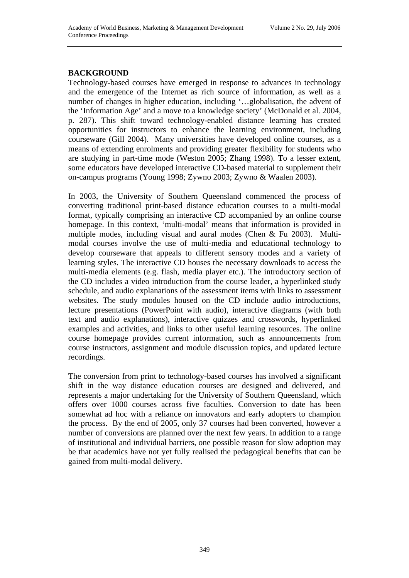# **BACKGROUND**

Technology-based courses have emerged in response to advances in technology and the emergence of the Internet as rich source of information, as well as a number of changes in higher education, including '…globalisation, the advent of the 'Information Age' and a move to a knowledge society' (McDonald et al. 2004, p. 287). This shift toward technology-enabled distance learning has created opportunities for instructors to enhance the learning environment, including courseware (Gill 2004). Many universities have developed online courses, as a means of extending enrolments and providing greater flexibility for students who are studying in part-time mode (Weston 2005; Zhang 1998). To a lesser extent, some educators have developed interactive CD-based material to supplement their on-campus programs (Young 1998; Zywno 2003; Zywno & Waalen 2003).

In 2003, the University of Southern Queensland commenced the process of converting traditional print-based distance education courses to a multi-modal format, typically comprising an interactive CD accompanied by an online course homepage. In this context, 'multi-modal' means that information is provided in multiple modes, including visual and aural modes (Chen & Fu 2003). Multimodal courses involve the use of multi-media and educational technology to develop courseware that appeals to different sensory modes and a variety of learning styles. The interactive CD houses the necessary downloads to access the multi-media elements (e.g. flash, media player etc.). The introductory section of the CD includes a video introduction from the course leader, a hyperlinked study schedule, and audio explanations of the assessment items with links to assessment websites. The study modules housed on the CD include audio introductions, lecture presentations (PowerPoint with audio), interactive diagrams (with both text and audio explanations), interactive quizzes and crosswords, hyperlinked examples and activities, and links to other useful learning resources. The online course homepage provides current information, such as announcements from course instructors, assignment and module discussion topics, and updated lecture recordings.

The conversion from print to technology-based courses has involved a significant shift in the way distance education courses are designed and delivered, and represents a major undertaking for the University of Southern Queensland, which offers over 1000 courses across five faculties. Conversion to date has been somewhat ad hoc with a reliance on innovators and early adopters to champion the process. By the end of 2005, only 37 courses had been converted, however a number of conversions are planned over the next few years. In addition to a range of institutional and individual barriers, one possible reason for slow adoption may be that academics have not yet fully realised the pedagogical benefits that can be gained from multi-modal delivery.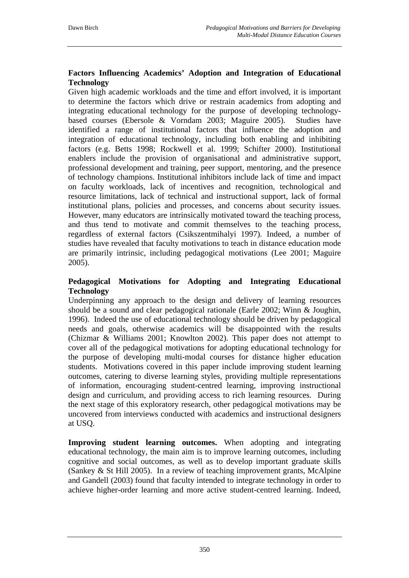## **Factors Influencing Academics' Adoption and Integration of Educational Technology**

Given high academic workloads and the time and effort involved, it is important to determine the factors which drive or restrain academics from adopting and integrating educational technology for the purpose of developing technologybased courses (Ebersole & Vorndam 2003; Maguire 2005). Studies have identified a range of institutional factors that influence the adoption and integration of educational technology, including both enabling and inhibiting factors (e.g. Betts 1998; Rockwell et al. 1999; Schifter 2000). Institutional enablers include the provision of organisational and administrative support, professional development and training, peer support, mentoring, and the presence of technology champions. Institutional inhibitors include lack of time and impact on faculty workloads, lack of incentives and recognition, technological and resource limitations, lack of technical and instructional support, lack of formal institutional plans, policies and processes, and concerns about security issues. However, many educators are intrinsically motivated toward the teaching process, and thus tend to motivate and commit themselves to the teaching process, regardless of external factors (Csikszentmihalyi 1997). Indeed, a number of studies have revealed that faculty motivations to teach in distance education mode are primarily intrinsic, including pedagogical motivations (Lee 2001; Maguire 2005).

### **Pedagogical Motivations for Adopting and Integrating Educational Technology**

Underpinning any approach to the design and delivery of learning resources should be a sound and clear pedagogical rationale (Earle 2002; Winn & Joughin, 1996). Indeed the use of educational technology should be driven by pedagogical needs and goals, otherwise academics will be disappointed with the results (Chizmar & Williams 2001; Knowlton 2002). This paper does not attempt to cover all of the pedagogical motivations for adopting educational technology for the purpose of developing multi-modal courses for distance higher education students. Motivations covered in this paper include improving student learning outcomes, catering to diverse learning styles, providing multiple representations of information, encouraging student-centred learning, improving instructional design and curriculum, and providing access to rich learning resources. During the next stage of this exploratory research, other pedagogical motivations may be uncovered from interviews conducted with academics and instructional designers at USQ.

**Improving student learning outcomes.** When adopting and integrating educational technology, the main aim is to improve learning outcomes, including cognitive and social outcomes, as well as to develop important graduate skills (Sankey & St Hill 2005). In a review of teaching improvement grants, McAlpine and Gandell (2003) found that faculty intended to integrate technology in order to achieve higher-order learning and more active student-centred learning. Indeed,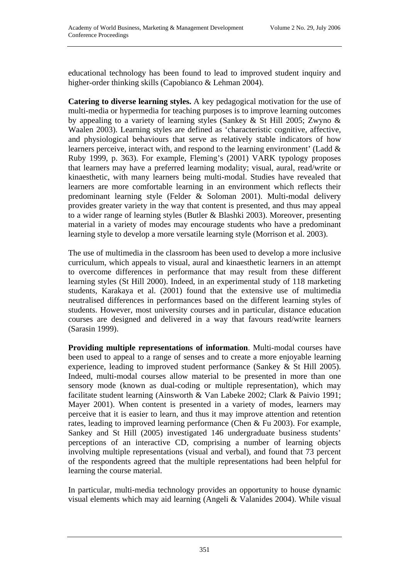educational technology has been found to lead to improved student inquiry and higher-order thinking skills (Capobianco & Lehman 2004).

**Catering to diverse learning styles.** A key pedagogical motivation for the use of multi-media or hypermedia for teaching purposes is to improve learning outcomes by appealing to a variety of learning styles (Sankey & St Hill 2005; Zwyno & Waalen 2003). Learning styles are defined as 'characteristic cognitive, affective, and physiological behaviours that serve as relatively stable indicators of how learners perceive, interact with, and respond to the learning environment' (Ladd & Ruby 1999, p. 363). For example, Fleming's (2001) VARK typology proposes that learners may have a preferred learning modality; visual, aural, read/write or kinaesthetic, with many learners being multi-modal. Studies have revealed that learners are more comfortable learning in an environment which reflects their predominant learning style (Felder & Soloman 2001). Multi-modal delivery provides greater variety in the way that content is presented, and thus may appeal to a wider range of learning styles (Butler & Blashki 2003). Moreover, presenting material in a variety of modes may encourage students who have a predominant learning style to develop a more versatile learning style (Morrison et al. 2003).

The use of multimedia in the classroom has been used to develop a more inclusive curriculum, which appeals to visual, aural and kinaesthetic learners in an attempt to overcome differences in performance that may result from these different learning styles (St Hill 2000). Indeed, in an experimental study of 118 marketing students, Karakaya et al. (2001) found that the extensive use of multimedia neutralised differences in performances based on the different learning styles of students. However, most university courses and in particular, distance education courses are designed and delivered in a way that favours read/write learners (Sarasin 1999).

**Providing multiple representations of information**. Multi-modal courses have been used to appeal to a range of senses and to create a more enjoyable learning experience, leading to improved student performance (Sankey & St Hill 2005). Indeed, multi-modal courses allow material to be presented in more than one sensory mode (known as dual-coding or multiple representation), which may facilitate student learning (Ainsworth & Van Labeke 2002; Clark & Paivio 1991; Mayer 2001). When content is presented in a variety of modes, learners may perceive that it is easier to learn, and thus it may improve attention and retention rates, leading to improved learning performance (Chen & Fu 2003). For example, Sankey and St Hill (2005) investigated 146 undergraduate business students' perceptions of an interactive CD, comprising a number of learning objects involving multiple representations (visual and verbal), and found that 73 percent of the respondents agreed that the multiple representations had been helpful for learning the course material.

In particular, multi-media technology provides an opportunity to house dynamic visual elements which may aid learning (Angeli & Valanides 2004). While visual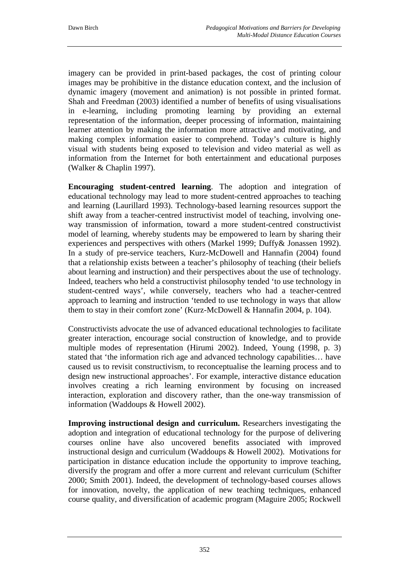imagery can be provided in print-based packages, the cost of printing colour images may be prohibitive in the distance education context, and the inclusion of dynamic imagery (movement and animation) is not possible in printed format. Shah and Freedman (2003) identified a number of benefits of using visualisations in e-learning, including promoting learning by providing an external representation of the information, deeper processing of information, maintaining learner attention by making the information more attractive and motivating, and making complex information easier to comprehend. Today's culture is highly visual with students being exposed to television and video material as well as information from the Internet for both entertainment and educational purposes (Walker & Chaplin 1997).

**Encouraging student-centred learning**. The adoption and integration of educational technology may lead to more student-centred approaches to teaching and learning (Laurillard 1993). Technology-based learning resources support the shift away from a teacher-centred instructivist model of teaching, involving oneway transmission of information, toward a more student-centred constructivist model of learning, whereby students may be empowered to learn by sharing their experiences and perspectives with others (Markel 1999; Duffy& Jonassen 1992). In a study of pre-service teachers, Kurz-McDowell and Hannafin (2004) found that a relationship exists between a teacher's philosophy of teaching (their beliefs about learning and instruction) and their perspectives about the use of technology. Indeed, teachers who held a constructivist philosophy tended 'to use technology in student-centred ways', while conversely, teachers who had a teacher-centred approach to learning and instruction 'tended to use technology in ways that allow them to stay in their comfort zone' (Kurz-McDowell & Hannafin 2004, p. 104).

Constructivists advocate the use of advanced educational technologies to facilitate greater interaction, encourage social construction of knowledge, and to provide multiple modes of representation (Hirumi 2002). Indeed, Young (1998, p. 3) stated that 'the information rich age and advanced technology capabilities… have caused us to revisit constructivism, to reconceptualise the learning process and to design new instructional approaches'. For example, interactive distance education involves creating a rich learning environment by focusing on increased interaction, exploration and discovery rather, than the one-way transmission of information (Waddoups & Howell 2002).

**Improving instructional design and curriculum.** Researchers investigating the adoption and integration of educational technology for the purpose of delivering courses online have also uncovered benefits associated with improved instructional design and curriculum (Waddoups & Howell 2002). Motivations for participation in distance education include the opportunity to improve teaching, diversify the program and offer a more current and relevant curriculum (Schifter 2000; Smith 2001). Indeed, the development of technology-based courses allows for innovation, novelty, the application of new teaching techniques, enhanced course quality, and diversification of academic program (Maguire 2005; Rockwell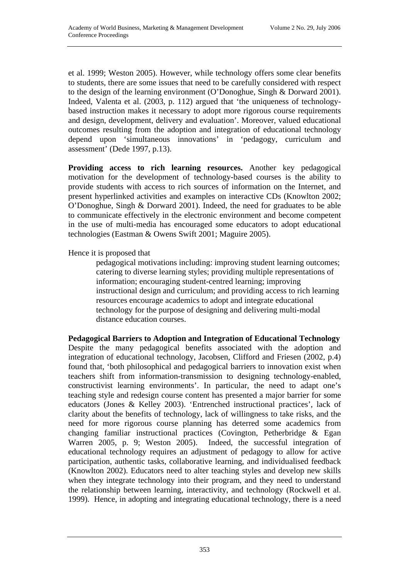et al. 1999; Weston 2005). However, while technology offers some clear benefits to students, there are some issues that need to be carefully considered with respect to the design of the learning environment (O'Donoghue, Singh & Dorward 2001). Indeed, Valenta et al. (2003, p. 112) argued that 'the uniqueness of technologybased instruction makes it necessary to adopt more rigorous course requirements and design, development, delivery and evaluation'. Moreover, valued educational outcomes resulting from the adoption and integration of educational technology depend upon 'simultaneous innovations' in 'pedagogy, curriculum and assessment' (Dede 1997, p.13).

**Providing access to rich learning resources.** Another key pedagogical motivation for the development of technology-based courses is the ability to provide students with access to rich sources of information on the Internet, and present hyperlinked activities and examples on interactive CDs (Knowlton 2002; O'Donoghue, Singh & Dorward 2001). Indeed, the need for graduates to be able to communicate effectively in the electronic environment and become competent in the use of multi-media has encouraged some educators to adopt educational technologies (Eastman & Owens Swift 2001; Maguire 2005).

Hence it is proposed that

 pedagogical motivations including: improving student learning outcomes; catering to diverse learning styles; providing multiple representations of information; encouraging student-centred learning; improving instructional design and curriculum; and providing access to rich learning resources encourage academics to adopt and integrate educational technology for the purpose of designing and delivering multi-modal distance education courses.

**Pedagogical Barriers to Adoption and Integration of Educational Technology**  Despite the many pedagogical benefits associated with the adoption and integration of educational technology, Jacobsen, Clifford and Friesen (2002, p.4) found that, 'both philosophical and pedagogical barriers to innovation exist when teachers shift from information-transmission to designing technology-enabled, constructivist learning environments'. In particular, the need to adapt one's teaching style and redesign course content has presented a major barrier for some educators (Jones & Kelley 2003). 'Entrenched instructional practices', lack of clarity about the benefits of technology, lack of willingness to take risks, and the need for more rigorous course planning has deterred some academics from changing familiar instructional practices (Covington, Petherbridge & Egan Warren 2005, p. 9; Weston 2005). Indeed, the successful integration of educational technology requires an adjustment of pedagogy to allow for active participation, authentic tasks, collaborative learning, and individualised feedback (Knowlton 2002). Educators need to alter teaching styles and develop new skills when they integrate technology into their program, and they need to understand the relationship between learning, interactivity, and technology (Rockwell et al. 1999). Hence, in adopting and integrating educational technology, there is a need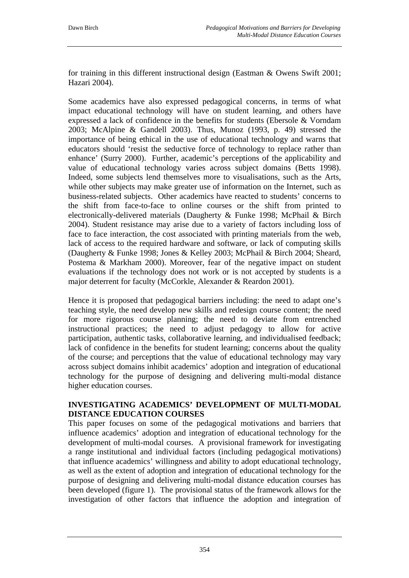for training in this different instructional design (Eastman & Owens Swift 2001; Hazari 2004).

Some academics have also expressed pedagogical concerns, in terms of what impact educational technology will have on student learning, and others have expressed a lack of confidence in the benefits for students (Ebersole & Vorndam 2003; McAlpine & Gandell 2003). Thus, Munoz (1993, p. 49) stressed the importance of being ethical in the use of educational technology and warns that educators should 'resist the seductive force of technology to replace rather than enhance' (Surry 2000). Further, academic's perceptions of the applicability and value of educational technology varies across subject domains (Betts 1998). Indeed, some subjects lend themselves more to visualisations, such as the Arts, while other subjects may make greater use of information on the Internet, such as business-related subjects. Other academics have reacted to students' concerns to the shift from face-to-face to online courses or the shift from printed to electronically-delivered materials (Daugherty & Funke 1998; McPhail & Birch 2004). Student resistance may arise due to a variety of factors including loss of face to face interaction, the cost associated with printing materials from the web, lack of access to the required hardware and software, or lack of computing skills (Daugherty & Funke 1998; Jones & Kelley 2003; McPhail & Birch 2004; Sheard, Postema & Markham 2000). Moreover, fear of the negative impact on student evaluations if the technology does not work or is not accepted by students is a major deterrent for faculty (McCorkle, Alexander & Reardon 2001).

Hence it is proposed that pedagogical barriers including: the need to adapt one's teaching style, the need develop new skills and redesign course content; the need for more rigorous course planning; the need to deviate from entrenched instructional practices; the need to adjust pedagogy to allow for active participation, authentic tasks, collaborative learning, and individualised feedback; lack of confidence in the benefits for student learning; concerns about the quality of the course; and perceptions that the value of educational technology may vary across subject domains inhibit academics' adoption and integration of educational technology for the purpose of designing and delivering multi-modal distance higher education courses.

## **INVESTIGATING ACADEMICS' DEVELOPMENT OF MULTI-MODAL DISTANCE EDUCATION COURSES**

This paper focuses on some of the pedagogical motivations and barriers that influence academics' adoption and integration of educational technology for the development of multi-modal courses. A provisional framework for investigating a range institutional and individual factors (including pedagogical motivations) that influence academics' willingness and ability to adopt educational technology, as well as the extent of adoption and integration of educational technology for the purpose of designing and delivering multi-modal distance education courses has been developed (figure 1). The provisional status of the framework allows for the investigation of other factors that influence the adoption and integration of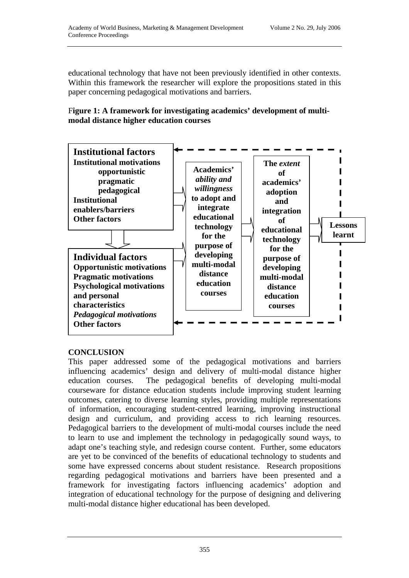educational technology that have not been previously identified in other contexts. Within this framework the researcher will explore the propositions stated in this paper concerning pedagogical motivations and barriers.

### F**igure 1: A framework for investigating academics' development of multimodal distance higher education courses**



## **CONCLUSION**

This paper addressed some of the pedagogical motivations and barriers influencing academics' design and delivery of multi-modal distance higher education courses. The pedagogical benefits of developing multi-modal courseware for distance education students include improving student learning outcomes, catering to diverse learning styles, providing multiple representations of information, encouraging student-centred learning, improving instructional design and curriculum, and providing access to rich learning resources. Pedagogical barriers to the development of multi-modal courses include the need to learn to use and implement the technology in pedagogically sound ways, to adapt one's teaching style, and redesign course content. Further, some educators are yet to be convinced of the benefits of educational technology to students and some have expressed concerns about student resistance. Research propositions regarding pedagogical motivations and barriers have been presented and a framework for investigating factors influencing academics' adoption and integration of educational technology for the purpose of designing and delivering multi-modal distance higher educational has been developed.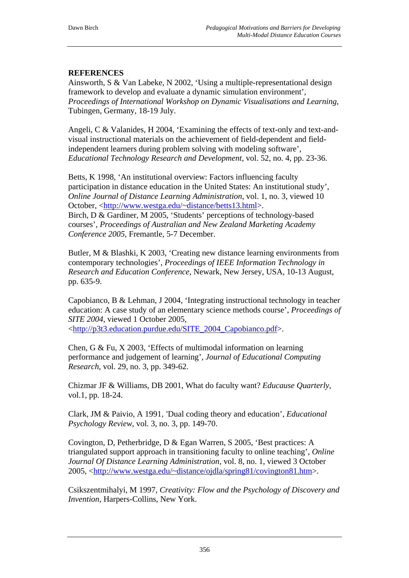## **REFERENCES**

Ainsworth, S & Van Labeke, N 2002, 'Using a multiple-representational design framework to develop and evaluate a dynamic simulation environment', *Proceedings of International Workshop on Dynamic Visualisations and Learning*, Tubingen, Germany, 18-19 July.

Angeli, C & Valanides, H 2004, 'Examining the effects of text-only and text-andvisual instructional materials on the achievement of field-dependent and fieldindependent learners during problem solving with modeling software', *Educational Technology Research and Development*, vol. 52, no. 4, pp. 23-36.

Betts, K 1998, 'An institutional overview: Factors influencing faculty participation in distance education in the United States: An institutional study', *Online Journal of Distance Learning Administration*, vol. 1, no. 3, viewed 10 October, <[http://www.westga.edu/~distance/betts13.html](http://www.westga.edu/%7Edistance/betts13.html)>. Birch, D & Gardiner, M 2005, 'Students' perceptions of technology-based courses', *Proceedings of Australian and New Zealand Marketing Academy Conference 2005*, Fremantle, 5-7 December.

Butler, M & Blashki, K 2003, 'Creating new distance learning environments from contemporary technologies', *Proceedings of IEEE Information Technology in Research and Education Conference*, Newark, New Jersey, USA, 10-13 August, pp. 635-9.

Capobianco, B & Lehman, J 2004, 'Integrating instructional technology in teacher education: A case study of an elementary science methods course', *Proceedings of SITE 2004*, viewed 1 October 2005, [<http://p3t3.education.purdue.edu/SITE\\_2004\\_Capobianco.pdf](http://p3t3.education.purdue.edu/SITE_2004_Capobianco.pdf)>.

Chen, G & Fu, X 2003, 'Effects of multimodal information on learning performance and judgement of learning', *Journal of Educational Computing Research*, vol. 29, no. 3, pp. 349-62.

Chizmar JF & Williams, DB 2001, What do faculty want? *Educause Quarterly*, vol.1, pp. 18-24.

Clark, JM & Paivio, A 1991, 'Dual coding theory and education', *Educational Psychology Review*, vol. 3, no. 3, pp. 149-70.

Covington, D, Petherbridge, D & Egan Warren, S 2005, 'Best practices: A triangulated support approach in transitioning faculty to online teaching', *Online Journal Of Distance Learning Administration,* vol. 8, no. 1, viewed 3 October 2005, [<http://www.westga.edu/~distance/ojdla/spring81/covington81.htm](http://www.westga.edu/%7Edistance/ojdla/spring81/covington81.htm)>.

Csikszentmihalyi, M 1997, *Creativity: Flow and the Psychology of Discovery and Invention*, Harpers-Collins, New York.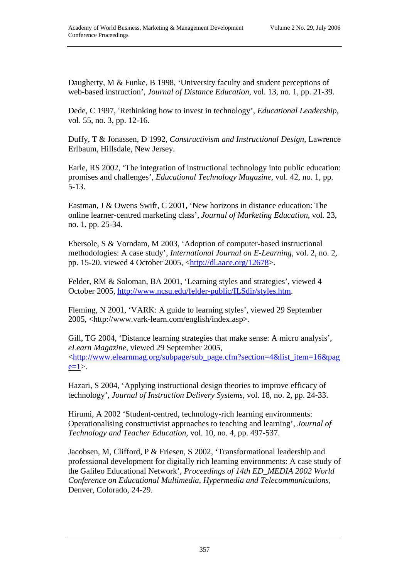Daugherty, M & Funke, B 1998, 'University faculty and student perceptions of web-based instruction', *Journal of Distance Education*, vol. 13, no. 1, pp. 21-39.

Dede, C 1997, 'Rethinking how to invest in technology', *Educational Leadership*, vol. 55, no. 3, pp. 12-16.

Duffy, T & Jonassen, D 1992, *Constructivism and Instructional Design*, Lawrence Erlbaum, Hillsdale, New Jersey.

Earle, RS 2002, 'The integration of instructional technology into public education: promises and challenges', *Educational Technology Magazine*, vol. 42, no. 1, pp. 5-13.

Eastman, J & Owens Swift, C 2001, 'New horizons in distance education: The online learner-centred marketing class', *Journal of Marketing Education*, vol. 23, no. 1, pp. 25-34.

Ebersole, S & Vorndam, M 2003, 'Adoption of computer-based instructional methodologies: A case study', *International Journal on E-Learning*, vol. 2, no. 2, pp. 15-20. viewed 4 October 2005, [<http://dl.aace.org/12678>](http://dl.aace.org/12678).

Felder, RM & Soloman, BA 2001, 'Learning styles and strategies', viewed 4 October 2005, <http://www.ncsu.edu/felder-public/ILSdir/styles.htm>.

Fleming, N 2001, 'VARK: A guide to learning styles', viewed 29 September 2005, <http://www.vark-learn.com/english/index.asp>.

Gill, TG 2004, 'Distance learning strategies that make sense: A micro analysis', *eLearn Magazine*, viewed 29 September 2005, [<http://www.elearnmag.org/subpage/sub\\_page.cfm?section=4&list\\_item=16&pag](http://www.elearnmag.org/subpage/sub_page.cfm?section=4&list_item=16&page=1)  $e=1$ .

Hazari, S 2004, 'Applying instructional design theories to improve efficacy of technology', *Journal of Instruction Delivery Systems*, vol. 18, no. 2, pp. 24-33.

Hirumi, A 2002 'Student-centred, technology-rich learning environments: Operationalising constructivist approaches to teaching and learning', *Journal of Technology and Teacher Education,* vol. 10, no. 4, pp. 497-537.

Jacobsen, M, Clifford, P & Friesen, S 2002, 'Transformational leadership and professional development for digitally rich learning environments: A case study of the Galileo Educational Network', *Proceedings of 14th ED\_MEDIA 2002 World Conference on Educational Multimedia, Hypermedia and Telecommunications,*  Denver, Colorado, 24-29.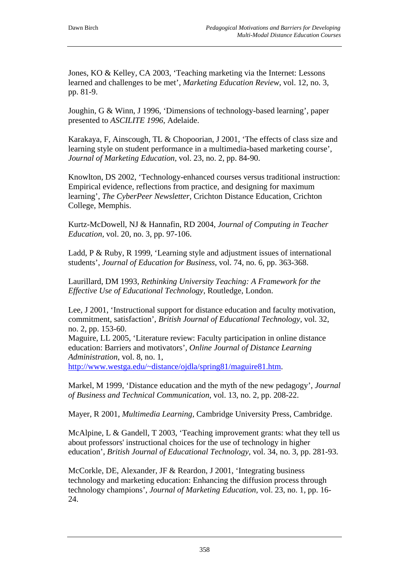Jones, KO & Kelley, CA 2003, 'Teaching marketing via the Internet: Lessons learned and challenges to be met', *Marketing Education Review*, vol. 12, no. 3, pp. 81-9.

Joughin, G & Winn, J 1996, 'Dimensions of technology-based learning', paper presented to *ASCILITE 1996*, Adelaide.

Karakaya, F, Ainscough, TL & Chopoorian, J 2001, 'The effects of class size and learning style on student performance in a multimedia-based marketing course', *Journal of Marketing Education,* vol. 23, no. 2, pp. 84-90.

Knowlton, DS 2002, 'Technology-enhanced courses versus traditional instruction: Empirical evidence, reflections from practice, and designing for maximum learning', *The CyberPeer Newsletter,* Crichton Distance Education, Crichton College, Memphis.

Kurtz-McDowell, NJ & Hannafin, RD 2004, *Journal of Computing in Teacher Education,* vol. 20, no. 3, pp. 97-106.

Ladd, P & Ruby, R 1999, 'Learning style and adjustment issues of international students', *Journal of Education for Business*, vol. 74, no. 6, pp. 363-368.

Laurillard, DM 1993, *Rethinking University Teaching: A Framework for the Effective Use of Educational Technology*, Routledge, London.

Lee, J 2001, 'Instructional support for distance education and faculty motivation, commitment, satisfaction', *British Journal of Educational Technology,* vol. 32, no. 2, pp. 153-60.

Maguire, LL 2005, 'Literature review: Faculty participation in online distance education: Barriers and motivators', *Online Journal of Distance Learning Administration*, vol. 8, no. 1,

[http://www.westga.edu/~distance/ojdla/spring81/maguire81.htm.](http://www.westga.edu/%7Edistance/ojdla/spring81/maguire81.htm)

Markel, M 1999, 'Distance education and the myth of the new pedagogy', *Journal of Business and Technical Communication,* vol. 13, no. 2, pp. 208-22.

Mayer, R 2001, *Multimedia Learning,* Cambridge University Press, Cambridge.

McAlpine, L & Gandell, T 2003, 'Teaching improvement grants: what they tell us about professors' instructional choices for the use of technology in higher education', *British Journal of Educational Technology,* vol. 34, no. 3, pp. 281-93.

McCorkle, DE, Alexander, JF & Reardon, J 2001, 'Integrating business technology and marketing education: Enhancing the diffusion process through technology champions', *Journal of Marketing Education,* vol. 23, no. 1, pp. 16- 24.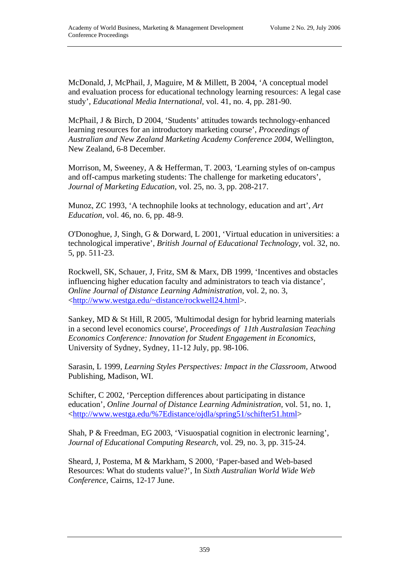McDonald, J, McPhail, J, Maguire, M & Millett, B 2004, 'A conceptual model and evaluation process for educational technology learning resources: A legal case study', *Educational Media International,* vol. 41, no. 4, pp. 281-90.

McPhail, J & Birch, D 2004, 'Students' attitudes towards technology-enhanced learning resources for an introductory marketing course', *Proceedings of Australian and New Zealand Marketing Academy Conference 2004*, Wellington, New Zealand, 6-8 December.

Morrison, M, Sweeney, A & Hefferman, T. 2003, 'Learning styles of on-campus and off-campus marketing students: The challenge for marketing educators', *Journal of Marketing Education,* vol. 25, no. 3, pp. 208-217.

Munoz, ZC 1993, 'A technophile looks at technology, education and art', *Art Education,* vol. 46, no. 6, pp. 48-9.

O'Donoghue, J, Singh, G & Dorward, L 2001, 'Virtual education in universities: a technological imperative', *British Journal of Educational Technology,* vol. 32, no. 5, pp. 511-23.

Rockwell, SK, Schauer, J, Fritz, SM & Marx, DB 1999, 'Incentives and obstacles influencing higher education faculty and administrators to teach via distance', *Online Journal of Distance Learning Administration,* vol. 2, no. 3, [<http://www.westga.edu/~distance/rockwell24.html>](http://www.westga.edu/%7Edistance/rockwell24.html).

Sankey, MD & St Hill, R 2005, ['Multimodal design for hybrid learning materials](http://www.usq.edu.au/users/sankey/Resources/F14_6.pdf)  [in a second level economics course'](http://www.usq.edu.au/users/sankey/Resources/F14_6.pdf), *Proceedings of [11th Australasian Teaching](http://www.econ.usyd.edu.au/econ/teachingconference/)  [Economics Conference](http://www.econ.usyd.edu.au/econ/teachingconference/): Innovation for Student Engagement in Economics*, University of Sydney, Sydney, 11-12 July, pp. 98-106.

Sarasin, L 1999, *Learning Styles Perspectives: Impact in the Classroom,* Atwood Publishing, Madison, WI.

Schifter, C 2002, 'Perception differences about participating in distance education', *Online Journal of Distance Learning Administration,* vol. 51, no. 1, [<http://www.westga.edu/%7Edistance/ojdla/spring51/schifter51.html](http://www.westga.edu/%7Edistance/ojdla/spring51/schifter51.html)>

Shah, P & Freedman, EG 2003, 'Visuospatial cognition in electronic learning', *Journal of Educational Computing Research*, vol. 29, no. 3, pp. 315-24.

Sheard, J, Postema, M & Markham, S 2000, 'Paper-based and Web-based Resources: What do students value?', In *Sixth Australian World Wide Web Conference,* Cairns, 12-17 June.